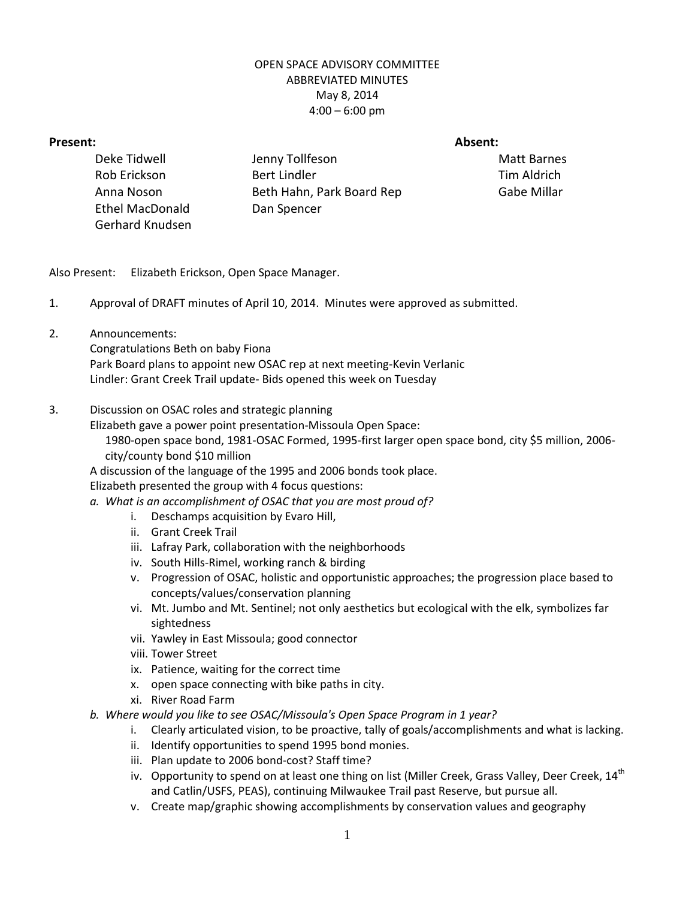## OPEN SPACE ADVISORY COMMITTEE ABBREVIATED MINUTES May 8, 2014  $4:00 - 6:00$  pm

## **Present: Absent:**

Deke Tidwell Jenny Tollfeson Matt Barnes Rob Erickson Bert Lindler Tim Aldrich Anna Noson Beth Hahn, Park Board Rep Gabe Millar Ethel MacDonald Dan Spencer Gerhard Knudsen

Also Present: Elizabeth Erickson, Open Space Manager.

- 1. Approval of DRAFT minutes of April 10, 2014. Minutes were approved as submitted.
- 2. Announcements:

Congratulations Beth on baby Fiona Park Board plans to appoint new OSAC rep at next meeting-Kevin Verlanic Lindler: Grant Creek Trail update- Bids opened this week on Tuesday

## 3. Discussion on OSAC roles and strategic planning

Elizabeth gave a power point presentation-Missoula Open Space: 1980-open space bond, 1981-OSAC Formed, 1995-first larger open space bond, city \$5 million, 2006 city/county bond \$10 million

A discussion of the language of the 1995 and 2006 bonds took place.

Elizabeth presented the group with 4 focus questions:

- *a. What is an accomplishment of OSAC that you are most proud of?*
	- i. Deschamps acquisition by Evaro Hill,
	- ii. Grant Creek Trail
	- iii. Lafray Park, collaboration with the neighborhoods
	- iv. South Hills-Rimel, working ranch & birding
	- v. Progression of OSAC, holistic and opportunistic approaches; the progression place based to concepts/values/conservation planning
	- vi. Mt. Jumbo and Mt. Sentinel; not only aesthetics but ecological with the elk, symbolizes far sightedness
	- vii. Yawley in East Missoula; good connector
	- viii. Tower Street
	- ix. Patience, waiting for the correct time
	- x. open space connecting with bike paths in city.
	- xi. River Road Farm
- *b. Where would you like to see OSAC/Missoula's Open Space Program in 1 year?*
	- i. Clearly articulated vision, to be proactive, tally of goals/accomplishments and what is lacking.
	- ii. Identify opportunities to spend 1995 bond monies.
	- iii. Plan update to 2006 bond-cost? Staff time?
	- iv. Opportunity to spend on at least one thing on list (Miller Creek, Grass Valley, Deer Creek, 14<sup>th</sup> and Catlin/USFS, PEAS), continuing Milwaukee Trail past Reserve, but pursue all.
	- v. Create map/graphic showing accomplishments by conservation values and geography